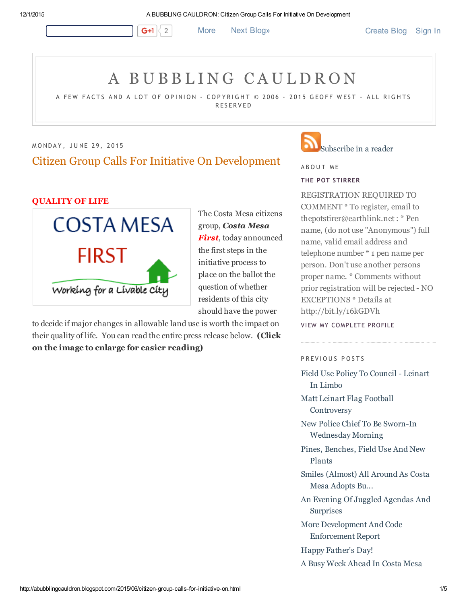G+1  $\vert$  2 More Next [Blog»](https://www.blogger.com/next-blog?navBar=true&blogID=36907480) [Create](https://www.blogger.com/home#create) Blog [Sign](https://www.blogger.com/) In

# A B U B B L I [N](http://abubblingcauldron.blogspot.com/) G C A U L D R O N

A FEW FACTS AND A LOT OF OPINION – COPYRIGHT © 2006 – 2015 GEOFF WEST – ALL RIGHTS **RESERVED** 

MONDAY, JUNE 29, 2015 Citizen Group Calls For Initiative On Development

#### QUALITY OF LIFE



The Costa Mesa citizens group, Costa Mesa First, today announced the first steps in the initiative process to place on the ballot the question of whether residents of this city should have the power

to decide if major changes in allowable land use is worth the impact on their quality of life. You can read the entire press release below. (Click on the image to enlarge for easier reading)

## [Subscribe](http://feeds2.feedburner.com/ABubblingCauldron) in a reader

A B O U T M E

#### THE POT [STIRRER](https://www.blogger.com/profile/00561445581111656693)

REGISTRATION REQUIRED TO COMMENT \* To register, email to thepotstirer@earthlink.net : \* Pen name, (do not use "Anonymous") full name, valid email address and telephone number \* 1 pen name per person. Don't use another persons proper name. \* Comments without prior registration will be rejected - NO EXCEPTIONS \* Details at http://bit.ly/16kGDVh

VIEW MY [COMPLETE](https://www.blogger.com/profile/00561445581111656693) PROFILE

#### P R EVIOUS POSTS

Field Use Policy To [Council](http://abubblingcauldron.blogspot.com/2015/06/field-use-policy-to-council-leinart-in.html) Leinart In Limbo

Matt Leinart Flag Football **[Controversy](http://abubblingcauldron.blogspot.com/2015/06/matt-leinart-flag-football-controversy.html)** 

New Police Chief To Be Sworn-In [Wednesday](http://abubblingcauldron.blogspot.com/2015/06/new-police-chief-to-be-sworn-in.html) Morning

Pines, [Benches,](http://abubblingcauldron.blogspot.com/2015/06/pines-benches-field-use-and-new-plants.html) Field Use And New Plants

Smiles [\(Almost\)](http://abubblingcauldron.blogspot.com/2015/06/smiles-almost-all-around-as-costa-mesa.html) All Around As Costa Mesa Adopts Bu...

An Evening Of Juggled Agendas And **[Surprises](http://abubblingcauldron.blogspot.com/2015/06/an-evening-of-juggled-agendas-and.html)** 

More [Development](http://abubblingcauldron.blogspot.com/2015/06/more-development-and-code-enforcement.html) And Code Enforcement Report

Happy [Father's](http://abubblingcauldron.blogspot.com/2015/06/happy-fathers-day.html) Day!

A Busy Week [Ahead](http://abubblingcauldron.blogspot.com/2015/06/a-busy-week-ahead-in-costa-mesa.html) In Costa Mesa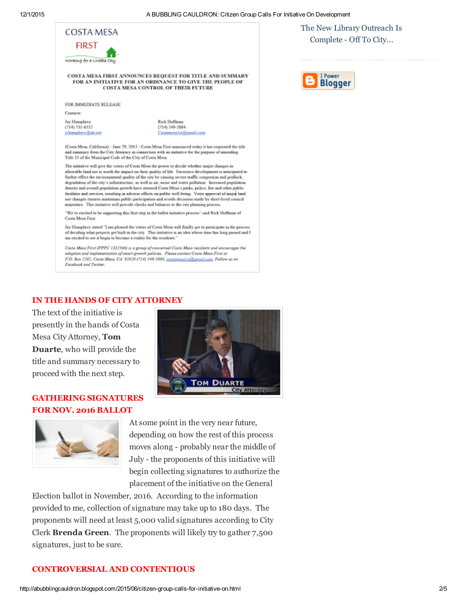

of deciding what projects get built in the city. This initiative is an idea whose time has long passed and I am excited to see it begin to become a reality for the residents.

Costa Mesa First (FPPC 1332564) is a group of concerned Costa Mesa residents and encourages the adoption and implementation of smart growth policies. Please contact Costa Mesa First at P.O. Box 2282, Costa Mesa, CA 92628 (714) 549-5884, costamesal st@gmail.com, Follow us on Facebook and Twitter.

#### IN THE HANDS OF CITY ATTORNEY

The text of the initiative is presently in the hands of Costa Mesa City Attorney, Tom Duarte, who will provide the title and summary necessary to proceed with the next step.

## GATHERING SIGNATURES FOR NOV. 2016 BALLOT





At some point in the very near future, depending on how the rest of this process moves along - probably near the middle of July - the proponents of this initiative will begin collecting signatures to authorize the placement of the initiative on the General

Election ballot in November, 2016. According to the information provided to me, collection of signature may take up to 180 days. The proponents will need at least 5,000 valid signatures according to City Clerk Brenda Green. The proponents will likely try to gather 7,500 signatures, just to be sure.

#### CONTROVERSIAL AND CONTENTIOUS

The New Library Outreach Is [Complete](http://abubblingcauldron.blogspot.com/2015/06/the-new-library-outreach-is-complete.html) - Off To City...

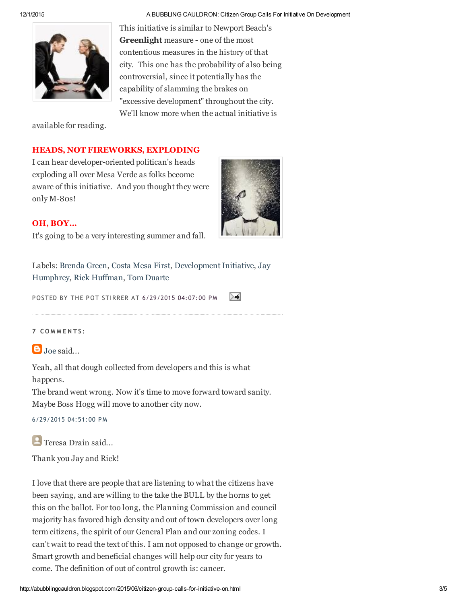#### 12/1/2015 A BUBBLING CAULDRON: Citizen Group Calls For Initiative On Development

This initiative is similar to Newport Beach's **Greenlight** measure - one of the most contentious measures in the history of that city. This one has the probability of also being controversial, since it potentially has the capability of slamming the brakes on "excessive development" throughout the city. We'll know more when the actual initiative is

available for reading.

## HEADS, NOT FIREWORKS, EXPLODING

I can hear developer-oriented politican's heads exploding all over Mesa Verde as folks become aware of this initiative. And you thought they were only M-80s!



### OH, BOY...

It's going to be a very interesting summer and fall.

Labels: [Brenda](http://abubblingcauldron.blogspot.com/search/label/Brenda%20Green) Green, [Costa](http://abubblingcauldron.blogspot.com/search/label/Costa%20Mesa%20First) Mesa First, [D](http://abubblingcauldron.blogspot.com/search/label/Jay%20Humphrey)evelopment Initiativ[e,](http://abubblingcauldron.blogspot.com/search/label/Jay%20Humphrey) Jay Humphrey, Rick [Huffman,](http://abubblingcauldron.blogspot.com/search/label/Rick%20Huffman) Tom [Duarte](http://abubblingcauldron.blogspot.com/search/label/Tom%20Duarte)

POSTED BY THE POT STIRRER AT [6/29/2015](http://abubblingcauldron.blogspot.com/2015/06/citizen-group-calls-for-initiative-on.html) 04:07:00 PM ≻≢

#### 7 C O M M E N T S :

 $\Box$ [Joe](https://www.blogger.com/profile/01836448643476182320) said...

Yeah, all that dough collected from developers and this is what happens.

The brand went wrong. Now it's time to move forward toward sanity. Maybe Boss Hogg will move to another city now.

6/29/2015 04:51:00 PM

**Teresa Drain said...** 

Thank you Jay and Rick!

I love that there are people that are listening to what the citizens have been saying, and are willing to the take the BULL by the horns to get this on the ballot. For too long, the Planning Commission and council majority has favored high density and out of town developers over long term citizens, the spirit of our General Plan and our zoning codes. I can't wait to read the text of this. I am not opposed to change or growth. Smart growth and beneficial changes will help our city for years to come. The definition of out of control growth is: cancer.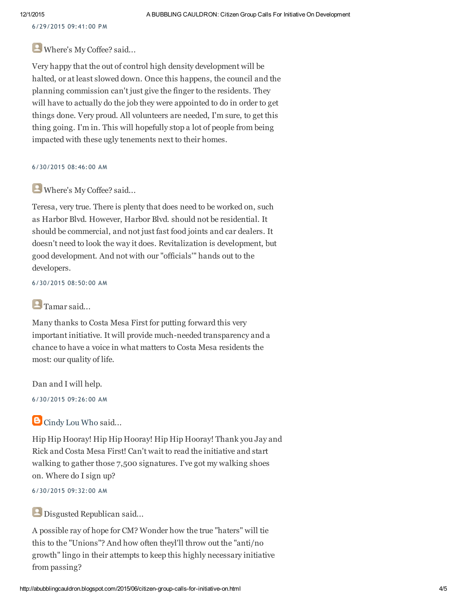6/29/2015 09:41:00 PM

## Where's My Coffee? said...

Very happy that the out of control high density development will be halted, or at least slowed down. Once this happens, the council and the planning commission can't just give the finger to the residents. They will have to actually do the job they were appointed to do in order to get things done. Very proud. All volunteers are needed, I'm sure, to get this thing going. I'm in. This will hopefully stop a lot of people from being impacted with these ugly tenements next to their homes.

#### 6/30/2015 08:46:00 AM

## Where's My Coffee? said...

Teresa, very true. There is plenty that does need to be worked on, such as Harbor Blvd. However, Harbor Blvd. should not be residential. It should be commercial, and not just fast food joints and car dealers. It doesn't need to look the way it does. Revitalization is development, but good development. And not with our "officials'" hands out to the developers.

6/30/2015 08:50:00 AM

## **Tamar said...**

Many thanks to Costa Mesa First for putting forward this very important initiative. It will provide much-needed transparency and a chance to have a voice in what matters to Costa Mesa residents the most: our quality of life.

Dan and I will help.

6/30/2015 09:26:00 AM

## **B** [Cindy](https://www.blogger.com/profile/14218998670327225471) Lou Who said...

Hip Hip Hooray! Hip Hip Hooray! Hip Hip Hooray! Thank you Jay and Rick and Costa Mesa First! Can't wait to read the initiative and start walking to gather those 7,500 signatures. I've got my walking shoes on. Where do I sign up?

6/30/2015 09:32:00 AM

## Disgusted Republican said...

A possible ray of hope for CM? Wonder how the true "haters" will tie this to the "Unions"? And how often theyl'll throw out the "anti/no growth" lingo in their attempts to keep this highly necessary initiative from passing?